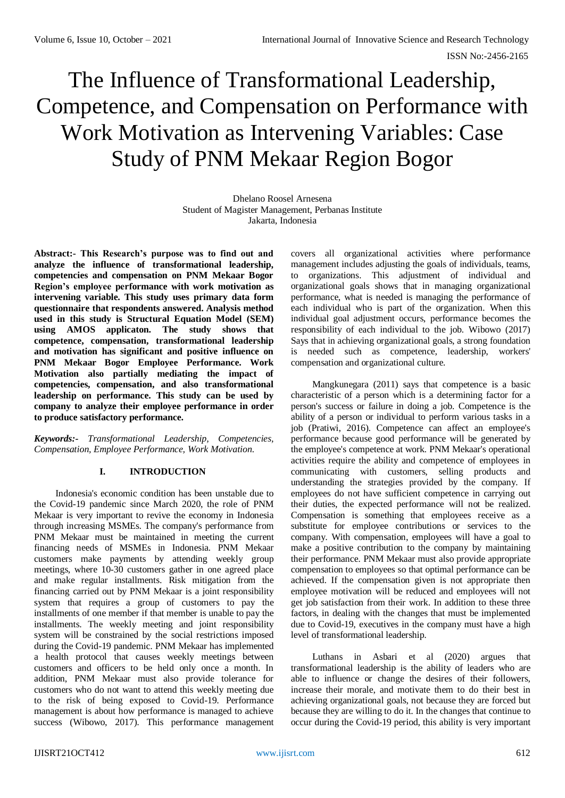# The Influence of Transformational Leadership, Competence, and Compensation on Performance with Work Motivation as Intervening Variables: Case Study of PNM Mekaar Region Bogor

Dhelano Roosel Arnesena Student of Magister Management, Perbanas Institute Jakarta, Indonesia

**Abstract:- This Research's purpose was to find out and analyze the influence of transformational leadership, competencies and compensation on PNM Mekaar Bogor Region's employee performance with work motivation as intervening variable. This study uses primary data form questionnaire that respondents answered. Analysis method used in this study is Structural Equation Model (SEM) using AMOS applicaton. The study shows that competence, compensation, transformational leadership and motivation has significant and positive influence on PNM Mekaar Bogor Employee Performance. Work Motivation also partially mediating the impact of competencies, compensation, and also transformational leadership on performance. This study can be used by company to analyze their employee performance in order to produce satisfactory performance.**

*Keywords:- Transformational Leadership, Competencies, Compensation, Employee Performance, Work Motivation.*

# **I. INTRODUCTION**

Indonesia's economic condition has been unstable due to the Covid-19 pandemic since March 2020, the role of PNM Mekaar is very important to revive the economy in Indonesia through increasing MSMEs. The company's performance from PNM Mekaar must be maintained in meeting the current financing needs of MSMEs in Indonesia. PNM Mekaar customers make payments by attending weekly group meetings, where 10-30 customers gather in one agreed place and make regular installments. Risk mitigation from the financing carried out by PNM Mekaar is a joint responsibility system that requires a group of customers to pay the installments of one member if that member is unable to pay the installments. The weekly meeting and joint responsibility system will be constrained by the social restrictions imposed during the Covid-19 pandemic. PNM Mekaar has implemented a health protocol that causes weekly meetings between customers and officers to be held only once a month. In addition, PNM Mekaar must also provide tolerance for customers who do not want to attend this weekly meeting due to the risk of being exposed to Covid-19. Performance management is about how performance is managed to achieve success (Wibowo, 2017). This performance management

covers all organizational activities where performance management includes adjusting the goals of individuals, teams, to organizations. This adjustment of individual and organizational goals shows that in managing organizational performance, what is needed is managing the performance of each individual who is part of the organization. When this individual goal adjustment occurs, performance becomes the responsibility of each individual to the job. Wibowo (2017) Says that in achieving organizational goals, a strong foundation is needed such as competence, leadership, workers' compensation and organizational culture.

Mangkunegara (2011) says that competence is a basic characteristic of a person which is a determining factor for a person's success or failure in doing a job. Competence is the ability of a person or individual to perform various tasks in a job (Pratiwi, 2016). Competence can affect an employee's performance because good performance will be generated by the employee's competence at work. PNM Mekaar's operational activities require the ability and competence of employees in communicating with customers, selling products and understanding the strategies provided by the company. If employees do not have sufficient competence in carrying out their duties, the expected performance will not be realized. Compensation is something that employees receive as a substitute for employee contributions or services to the company. With compensation, employees will have a goal to make a positive contribution to the company by maintaining their performance. PNM Mekaar must also provide appropriate compensation to employees so that optimal performance can be achieved. If the compensation given is not appropriate then employee motivation will be reduced and employees will not get job satisfaction from their work. In addition to these three factors, in dealing with the changes that must be implemented due to Covid-19, executives in the company must have a high level of transformational leadership.

Luthans in Asbari et al (2020) argues that transformational leadership is the ability of leaders who are able to influence or change the desires of their followers, increase their morale, and motivate them to do their best in achieving organizational goals, not because they are forced but because they are willing to do it. In the changes that continue to occur during the Covid-19 period, this ability is very important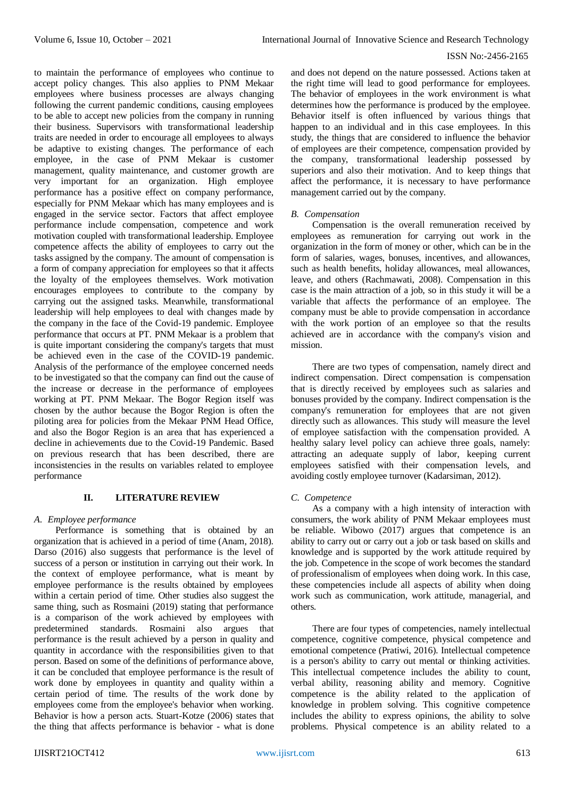to maintain the performance of employees who continue to accept policy changes. This also applies to PNM Mekaar employees where business processes are always changing following the current pandemic conditions, causing employees to be able to accept new policies from the company in running their business. Supervisors with transformational leadership traits are needed in order to encourage all employees to always be adaptive to existing changes. The performance of each employee, in the case of PNM Mekaar is customer management, quality maintenance, and customer growth are very important for an organization. High employee performance has a positive effect on company performance, especially for PNM Mekaar which has many employees and is engaged in the service sector. Factors that affect employee performance include compensation, competence and work motivation coupled with transformational leadership. Employee competence affects the ability of employees to carry out the tasks assigned by the company. The amount of compensation is a form of company appreciation for employees so that it affects the loyalty of the employees themselves. Work motivation encourages employees to contribute to the company by carrying out the assigned tasks. Meanwhile, transformational leadership will help employees to deal with changes made by the company in the face of the Covid-19 pandemic. Employee performance that occurs at PT. PNM Mekaar is a problem that is quite important considering the company's targets that must be achieved even in the case of the COVID-19 pandemic. Analysis of the performance of the employee concerned needs to be investigated so that the company can find out the cause of the increase or decrease in the performance of employees working at PT. PNM Mekaar. The Bogor Region itself was chosen by the author because the Bogor Region is often the piloting area for policies from the Mekaar PNM Head Office, and also the Bogor Region is an area that has experienced a decline in achievements due to the Covid-19 Pandemic. Based on previous research that has been described, there are inconsistencies in the results on variables related to employee performance

## **II. LITERATURE REVIEW**

## *A. Employee performance*

Performance is something that is obtained by an organization that is achieved in a period of time (Anam, 2018). Darso (2016) also suggests that performance is the level of success of a person or institution in carrying out their work. In the context of employee performance, what is meant by employee performance is the results obtained by employees within a certain period of time. Other studies also suggest the same thing, such as Rosmaini (2019) stating that performance is a comparison of the work achieved by employees with predetermined standards. Rosmaini also argues that performance is the result achieved by a person in quality and quantity in accordance with the responsibilities given to that person. Based on some of the definitions of performance above, it can be concluded that employee performance is the result of work done by employees in quantity and quality within a certain period of time. The results of the work done by employees come from the employee's behavior when working. Behavior is how a person acts. Stuart-Kotze (2006) states that the thing that affects performance is behavior - what is done

and does not depend on the nature possessed. Actions taken at the right time will lead to good performance for employees. The behavior of employees in the work environment is what determines how the performance is produced by the employee. Behavior itself is often influenced by various things that happen to an individual and in this case employees. In this study, the things that are considered to influence the behavior of employees are their competence, compensation provided by the company, transformational leadership possessed by superiors and also their motivation. And to keep things that affect the performance, it is necessary to have performance management carried out by the company.

## *B. Compensation*

Compensation is the overall remuneration received by employees as remuneration for carrying out work in the organization in the form of money or other, which can be in the form of salaries, wages, bonuses, incentives, and allowances, such as health benefits, holiday allowances, meal allowances, leave, and others (Rachmawati, 2008). Compensation in this case is the main attraction of a job, so in this study it will be a variable that affects the performance of an employee. The company must be able to provide compensation in accordance with the work portion of an employee so that the results achieved are in accordance with the company's vision and mission.

There are two types of compensation, namely direct and indirect compensation. Direct compensation is compensation that is directly received by employees such as salaries and bonuses provided by the company. Indirect compensation is the company's remuneration for employees that are not given directly such as allowances. This study will measure the level of employee satisfaction with the compensation provided. A healthy salary level policy can achieve three goals, namely: attracting an adequate supply of labor, keeping current employees satisfied with their compensation levels, and avoiding costly employee turnover (Kadarsiman, 2012).

## *C. Competence*

As a company with a high intensity of interaction with consumers, the work ability of PNM Mekaar employees must be reliable. Wibowo (2017) argues that competence is an ability to carry out or carry out a job or task based on skills and knowledge and is supported by the work attitude required by the job. Competence in the scope of work becomes the standard of professionalism of employees when doing work. In this case, these competencies include all aspects of ability when doing work such as communication, work attitude, managerial, and others.

There are four types of competencies, namely intellectual competence, cognitive competence, physical competence and emotional competence (Pratiwi, 2016). Intellectual competence is a person's ability to carry out mental or thinking activities. This intellectual competence includes the ability to count, verbal ability, reasoning ability and memory. Cognitive competence is the ability related to the application of knowledge in problem solving. This cognitive competence includes the ability to express opinions, the ability to solve problems. Physical competence is an ability related to a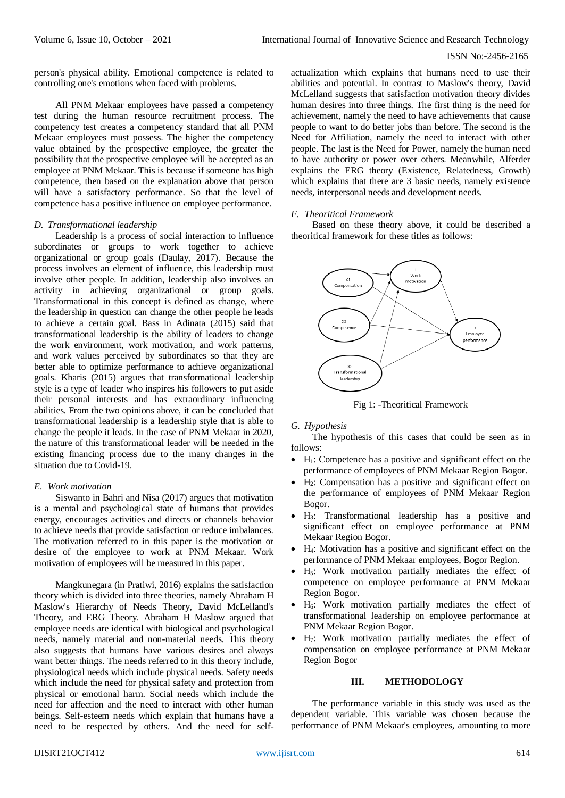person's physical ability. Emotional competence is related to controlling one's emotions when faced with problems.

All PNM Mekaar employees have passed a competency test during the human resource recruitment process. The competency test creates a competency standard that all PNM Mekaar employees must possess. The higher the competency value obtained by the prospective employee, the greater the possibility that the prospective employee will be accepted as an employee at PNM Mekaar. This is because if someone has high competence, then based on the explanation above that person will have a satisfactory performance. So that the level of competence has a positive influence on employee performance.

## *D. Transformational leadership*

Leadership is a process of social interaction to influence subordinates or groups to work together to achieve organizational or group goals (Daulay, 2017). Because the process involves an element of influence, this leadership must involve other people. In addition, leadership also involves an activity in achieving organizational or group goals. Transformational in this concept is defined as change, where the leadership in question can change the other people he leads to achieve a certain goal. Bass in Adinata (2015) said that transformational leadership is the ability of leaders to change the work environment, work motivation, and work patterns, and work values perceived by subordinates so that they are better able to optimize performance to achieve organizational goals. Kharis (2015) argues that transformational leadership style is a type of leader who inspires his followers to put aside their personal interests and has extraordinary influencing abilities. From the two opinions above, it can be concluded that transformational leadership is a leadership style that is able to change the people it leads. In the case of PNM Mekaar in 2020, the nature of this transformational leader will be needed in the existing financing process due to the many changes in the situation due to Covid-19.

## *E. Work motivation*

Siswanto in Bahri and Nisa (2017) argues that motivation is a mental and psychological state of humans that provides energy, encourages activities and directs or channels behavior to achieve needs that provide satisfaction or reduce imbalances. The motivation referred to in this paper is the motivation or desire of the employee to work at PNM Mekaar. Work motivation of employees will be measured in this paper.

Mangkunegara (in Pratiwi, 2016) explains the satisfaction theory which is divided into three theories, namely Abraham H Maslow's Hierarchy of Needs Theory, David McLelland's Theory, and ERG Theory. Abraham H Maslow argued that employee needs are identical with biological and psychological needs, namely material and non-material needs. This theory also suggests that humans have various desires and always want better things. The needs referred to in this theory include, physiological needs which include physical needs. Safety needs which include the need for physical safety and protection from physical or emotional harm. Social needs which include the need for affection and the need to interact with other human beings. Self-esteem needs which explain that humans have a need to be respected by others. And the need for self-

actualization which explains that humans need to use their abilities and potential. In contrast to Maslow's theory, David McLelland suggests that satisfaction motivation theory divides human desires into three things. The first thing is the need for achievement, namely the need to have achievements that cause people to want to do better jobs than before. The second is the Need for Affiliation, namely the need to interact with other people. The last is the Need for Power, namely the human need to have authority or power over others. Meanwhile, Alferder explains the ERG theory (Existence, Relatedness, Growth) which explains that there are 3 basic needs, namely existence needs, interpersonal needs and development needs.

## *F. Theoritical Framework*

Based on these theory above, it could be described a theoritical framework for these titles as follows:



Fig 1: -Theoritical Framework

## *G. Hypothesis*

The hypothesis of this cases that could be seen as in follows:

- $\bullet$  H<sub>1</sub>: Competence has a positive and significant effect on the performance of employees of PNM Mekaar Region Bogor.
- H2: Compensation has a positive and significant effect on the performance of employees of PNM Mekaar Region Bogor.
- H3: Transformational leadership has a positive and significant effect on employee performance at PNM Mekaar Region Bogor.
- H4: Motivation has a positive and significant effect on the performance of PNM Mekaar employees, Bogor Region.
- H5: Work motivation partially mediates the effect of competence on employee performance at PNM Mekaar Region Bogor.
- H6: Work motivation partially mediates the effect of transformational leadership on employee performance at PNM Mekaar Region Bogor.
- H7: Work motivation partially mediates the effect of compensation on employee performance at PNM Mekaar Region Bogor

## **III. METHODOLOGY**

The performance variable in this study was used as the dependent variable. This variable was chosen because the performance of PNM Mekaar's employees, amounting to more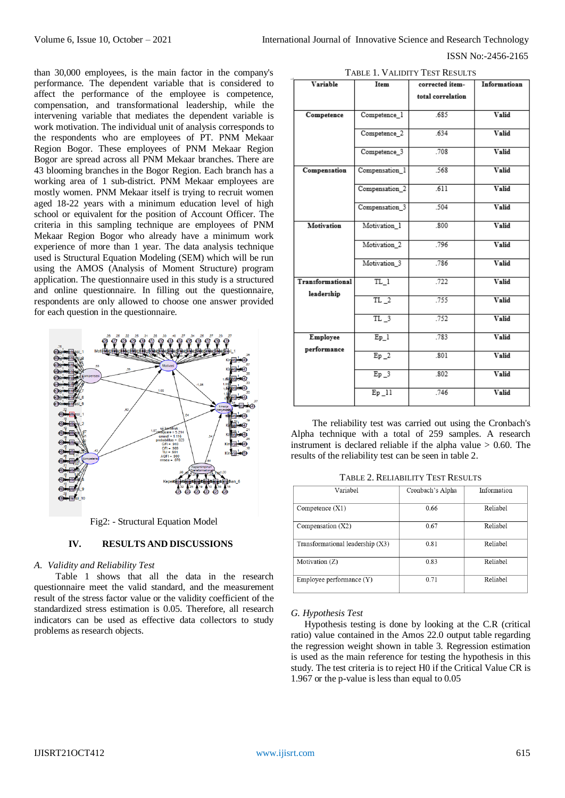than 30,000 employees, is the main factor in the company's performance. The dependent variable that is considered to affect the performance of the employee is competence, compensation, and transformational leadership, while the intervening variable that mediates the dependent variable is work motivation. The individual unit of analysis corresponds to the respondents who are employees of PT. PNM Mekaar Region Bogor. These employees of PNM Mekaar Region Bogor are spread across all PNM Mekaar branches. There are 43 blooming branches in the Bogor Region. Each branch has a working area of 1 sub-district. PNM Mekaar employees are mostly women. PNM Mekaar itself is trying to recruit women aged 18-22 years with a minimum education level of high school or equivalent for the position of Account Officer. The criteria in this sampling technique are employees of PNM Mekaar Region Bogor who already have a minimum work experience of more than 1 year. The data analysis technique used is Structural Equation Modeling (SEM) which will be run using the AMOS (Analysis of Moment Structure) program application. The questionnaire used in this study is a structured and online questionnaire. In filling out the questionnaire, respondents are only allowed to choose one answer provided for each question in the questionnaire.



Fig2: - Structural Equation Model

# **IV. RESULTS AND DISCUSSIONS**

## *A. Validity and Reliability Test*

Table 1 shows that all the data in the research questionnaire meet the valid standard, and the measurement result of the stress factor value or the validity coefficient of the standardized stress estimation is 0.05. Therefore, all research indicators can be used as effective data collectors to study problems as research objects.

| Variable                       | Item                      | corrected item-   | Informatioan |  |  |
|--------------------------------|---------------------------|-------------------|--------------|--|--|
|                                |                           | total correlation |              |  |  |
| Competence                     | Competence_1              | .685              | Valid        |  |  |
|                                | Competence 2              | .634              | Valid        |  |  |
|                                | Competence 3              | .708              | Valid        |  |  |
| Compensation                   | Compensation <sub>1</sub> | .568              | Valid        |  |  |
|                                | Compensation <sub>2</sub> | .611              | Valid        |  |  |
|                                | Compensation 3            | .504              | Valid        |  |  |
| Motivation                     | Motivation 1              | .800              | Valid        |  |  |
|                                | Motivation <sub>2</sub>   | .796              | Valid        |  |  |
|                                | Motivation_3              | .786              | Valid        |  |  |
| Transformational<br>leadership | $TL_1$                    | .722              | Valid        |  |  |
|                                | $TL_2$                    | .755              | Valid        |  |  |
|                                | $TL_3$                    | 752               | Valid        |  |  |
| Employee<br>performance        | Ep 1                      | .783              | Valid        |  |  |
|                                | $Ep_2$                    | .801              | Valid        |  |  |
|                                | $Ep_3$                    | .802              | Valid        |  |  |
|                                | $E_{p}$ <sup>11</sup>     | .746              | Valid        |  |  |

The reliability test was carried out using the Cronbach's Alpha technique with a total of 259 samples. A research instrument is declared reliable if the alpha value > 0.60. The results of the reliability test can be seen in table 2.

TABLE 2. RELIABILITY TEST RESULTS

| Variabel                           | Cronbach's Alpha | Information |
|------------------------------------|------------------|-------------|
| Competence $(X1)$                  | 0.66             | Reliabel    |
| Compensation $(X2)$                | 0.67             | Reliabel    |
| Transformational leadership $(X3)$ | 0.81             | Reliabel    |
| Motivation (Z)                     | 0.83             | Reliabel    |
| Employee performance (Y)           | 0.71             | Reliabel    |

## *G. Hypothesis Test*

Hypothesis testing is done by looking at the C.R (critical ratio) value contained in the Amos 22.0 output table regarding the regression weight shown in table 3. Regression estimation is used as the main reference for testing the hypothesis in this study. The test criteria is to reject H0 if the Critical Value CR is 1.967 or the p-value is less than equal to 0.05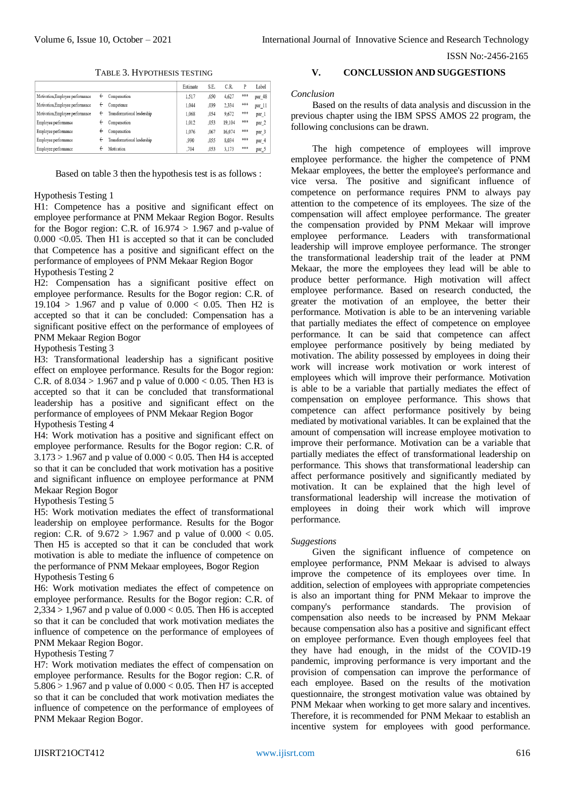TABLE 3. HYPOTHESIS TESTING

|                                  |   |                             | Estimate | S.E. | C.R.   | P   | Label             |
|----------------------------------|---|-----------------------------|----------|------|--------|-----|-------------------|
| Motivation, Employee performance | ← | Compensation                | 1.517    | .650 | 4,627  | *** | par 48            |
| Motivation, Employee performance | ← | Competence                  | 1.044    | .039 | 2.334  | *** | par 11            |
| Motivation.Employee performance  | ← | Transformational leadership | 1.068    | .054 | 9.672  | *** | par_1             |
| Employee performance             | ← | Compensation                | 1.012    | .053 | 19.104 | *** | $par_2$           |
| Employee performance             | ← | Compensation                | 1.076    | .067 | 16.074 | *** | par <sub>_3</sub> |
| Employee performance             | ← | Transformational leadership | .990     | .055 | 8.034  | *** | par_4             |
| Employee performance             |   | Motivation                  | .704     | .053 | 3.173  | *** | par 5             |

Based on table 3 then the hypothesis test is as follows :

## Hypothesis Testing 1

H1: Competence has a positive and significant effect on employee performance at PNM Mekaar Region Bogor. Results for the Bogor region: C.R. of  $16.974 > 1.967$  and p-value of 0.000 <0.05. Then H1 is accepted so that it can be concluded that Competence has a positive and significant effect on the performance of employees of PNM Mekaar Region Bogor Hypothesis Testing 2

H2: Compensation has a significant positive effect on employee performance. Results for the Bogor region: C.R. of  $19.104 > 1.967$  and p value of  $0.000 < 0.05$ . Then H2 is accepted so that it can be concluded: Compensation has a significant positive effect on the performance of employees of PNM Mekaar Region Bogor

## Hypothesis Testing 3

H3: Transformational leadership has a significant positive effect on employee performance. Results for the Bogor region: C.R. of  $8.034 > 1.967$  and p value of  $0.000 < 0.05$ . Then H3 is accepted so that it can be concluded that transformational leadership has a positive and significant effect on the performance of employees of PNM Mekaar Region Bogor Hypothesis Testing 4

H4: Work motivation has a positive and significant effect on employee performance. Results for the Bogor region: C.R. of  $3.173 > 1.967$  and p value of  $0.000 < 0.05$ . Then H4 is accepted so that it can be concluded that work motivation has a positive and significant influence on employee performance at PNM Mekaar Region Bogor

## Hypothesis Testing 5

H5: Work motivation mediates the effect of transformational leadership on employee performance. Results for the Bogor region: C.R. of  $9.672 > 1.967$  and p value of  $0.000 < 0.05$ . Then H5 is accepted so that it can be concluded that work motivation is able to mediate the influence of competence on the performance of PNM Mekaar employees, Bogor Region Hypothesis Testing 6

H6: Work motivation mediates the effect of competence on employee performance. Results for the Bogor region: C.R. of  $2,334 > 1,967$  and p value of  $0.000 < 0.05$ . Then H6 is accepted so that it can be concluded that work motivation mediates the influence of competence on the performance of employees of PNM Mekaar Region Bogor.

#### Hypothesis Testing 7

H7: Work motivation mediates the effect of compensation on employee performance. Results for the Bogor region: C.R. of 5.806 > 1.967 and p value of  $0.000 < 0.05$ . Then H7 is accepted so that it can be concluded that work motivation mediates the influence of competence on the performance of employees of PNM Mekaar Region Bogor.

## **V. CONCLUSSION AND SUGGESTIONS**

*Conclusion*

Based on the results of data analysis and discussion in the previous chapter using the IBM SPSS AMOS 22 program, the following conclusions can be drawn.

The high competence of employees will improve employee performance. the higher the competence of PNM Mekaar employees, the better the employee's performance and vice versa. The positive and significant influence of competence on performance requires PNM to always pay attention to the competence of its employees. The size of the compensation will affect employee performance. The greater the compensation provided by PNM Mekaar will improve employee performance. Leaders with transformational leadership will improve employee performance. The stronger the transformational leadership trait of the leader at PNM Mekaar, the more the employees they lead will be able to produce better performance. High motivation will affect employee performance. Based on research conducted, the greater the motivation of an employee, the better their performance. Motivation is able to be an intervening variable that partially mediates the effect of competence on employee performance. It can be said that competence can affect employee performance positively by being mediated by motivation. The ability possessed by employees in doing their work will increase work motivation or work interest of employees which will improve their performance. Motivation is able to be a variable that partially mediates the effect of compensation on employee performance. This shows that competence can affect performance positively by being mediated by motivational variables. It can be explained that the amount of compensation will increase employee motivation to improve their performance. Motivation can be a variable that partially mediates the effect of transformational leadership on performance. This shows that transformational leadership can affect performance positively and significantly mediated by motivation. It can be explained that the high level of transformational leadership will increase the motivation of employees in doing their work which will improve performance.

#### *Suggestions*

Given the significant influence of competence on employee performance, PNM Mekaar is advised to always improve the competence of its employees over time. In addition, selection of employees with appropriate competencies is also an important thing for PNM Mekaar to improve the company's performance standards. The provision of compensation also needs to be increased by PNM Mekaar because compensation also has a positive and significant effect on employee performance. Even though employees feel that they have had enough, in the midst of the COVID-19 pandemic, improving performance is very important and the provision of compensation can improve the performance of each employee. Based on the results of the motivation questionnaire, the strongest motivation value was obtained by PNM Mekaar when working to get more salary and incentives. Therefore, it is recommended for PNM Mekaar to establish an incentive system for employees with good performance.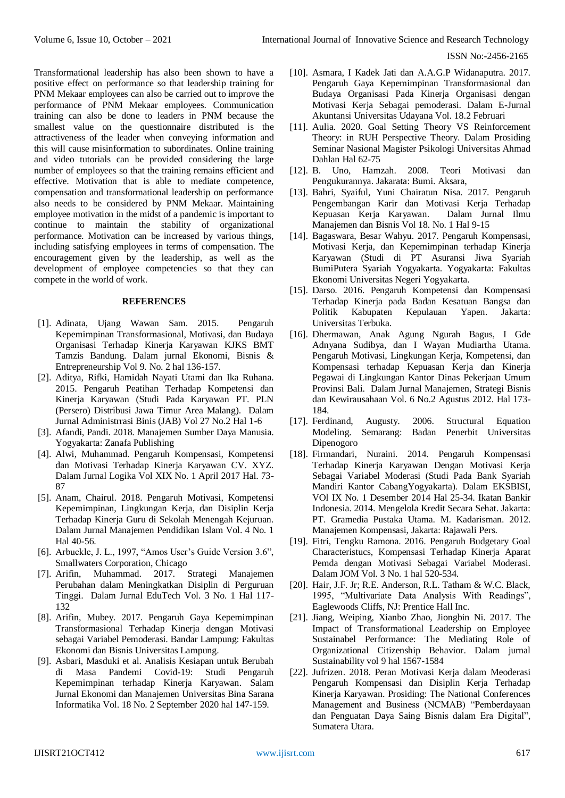Transformational leadership has also been shown to have a positive effect on performance so that leadership training for PNM Mekaar employees can also be carried out to improve the performance of PNM Mekaar employees. Communication training can also be done to leaders in PNM because the smallest value on the questionnaire distributed is the attractiveness of the leader when conveying information and this will cause misinformation to subordinates. Online training and video tutorials can be provided considering the large number of employees so that the training remains efficient and effective. Motivation that is able to mediate competence, compensation and transformational leadership on performance also needs to be considered by PNM Mekaar. Maintaining employee motivation in the midst of a pandemic is important to continue to maintain the stability of organizational performance. Motivation can be increased by various things, including satisfying employees in terms of compensation. The encouragement given by the leadership, as well as the development of employee competencies so that they can compete in the world of work.

## **REFERENCES**

- [1]. Adinata, Ujang Wawan Sam. 2015. Pengaruh Kepemimpinan Transformasional, Motivasi, dan Budaya Organisasi Terhadap Kinerja Karyawan KJKS BMT Tamzis Bandung. Dalam jurnal Ekonomi, Bisnis & Entrepreneurship Vol 9. No. 2 hal 136-157.
- [2]. Aditya, Rifki, Hamidah Nayati Utami dan Ika Ruhana. 2015. Pengaruh Peatihan Terhadap Kompetensi dan Kinerja Karyawan (Studi Pada Karyawan PT. PLN (Persero) Distribusi Jawa Timur Area Malang). Dalam Jurnal Administrrasi Binis (JAB) Vol 27 No.2 Hal 1-6
- [3]. Afandi, Pandi. 2018. Manajemen Sumber Daya Manusia. Yogyakarta: Zanafa Publishing
- [4]. Alwi, Muhammad. Pengaruh Kompensasi, Kompetensi dan Motivasi Terhadap Kinerja Karyawan CV. XYZ. Dalam Jurnal Logika Vol XIX No. 1 April 2017 Hal. 73- 87
- [5]. Anam, Chairul. 2018. Pengaruh Motivasi, Kompetensi Kepemimpinan, Lingkungan Kerja, dan Disiplin Kerja Terhadap Kinerja Guru di Sekolah Menengah Kejuruan. Dalam Jurnal Manajemen Pendidikan Islam Vol. 4 No. 1 Hal 40-56.
- [6]. Arbuckle, J. L., 1997, "Amos User's Guide Version 3.6", Smallwaters Corporation, Chicago
- [7]. Arifin, Muhammad. 2017. Strategi Manajemen Perubahan dalam Meningkatkan Disiplin di Perguruan Tinggi. Dalam Jurnal EduTech Vol. 3 No. 1 Hal 117- 132
- [8]. Arifin, Mubey. 2017. Pengaruh Gaya Kepemimpinan Transformasional Terhadap Kinerja dengan Motivasi sebagai Variabel Pemoderasi. Bandar Lampung: Fakultas Ekonomi dan Bisnis Universitas Lampung.
- [9]. Asbari, Masduki et al. Analisis Kesiapan untuk Berubah di Masa Pandemi Covid-19: Studi Pengaruh Kepemimpinan terhadap Kinerja Karyawan. Salam Jurnal Ekonomi dan Manajemen Universitas Bina Sarana Informatika Vol. 18 No. 2 September 2020 hal 147-159.
- [10]. Asmara, I Kadek Jati dan A.A.G.P Widanaputra. 2017. Pengaruh Gaya Kepemimpinan Transformasional dan Budaya Organisasi Pada Kinerja Organisasi dengan Motivasi Kerja Sebagai pemoderasi. Dalam E-Jurnal Akuntansi Universitas Udayana Vol. 18.2 Februari
- [11]. Aulia. 2020. Goal Setting Theory VS Reinforcement Theory: in RUH Perspective Theory. Dalam Prosiding Seminar Nasional Magister Psikologi Universitas Ahmad Dahlan Hal 62-75
- [12]. B. Uno, Hamzah. 2008. Teori Motivasi dan Pengukurannya. Jakarata: Bumi. Aksara,
- [13]. Bahri, Syaiful, Yuni Chairatun Nisa. 2017. Pengaruh Pengembangan Karir dan Motivasi Kerja Terhadap Kepuasan Kerja Karyawan. Dalam Jurnal Ilmu Manajemen dan Bisnis Vol 18. No. 1 Hal 9-15
- [14]. Bagaswara, Besar Wahyu. 2017. Pengaruh Kompensasi, Motivasi Kerja, dan Kepemimpinan terhadap Kinerja Karyawan (Studi di PT Asuransi Jiwa Syariah BumiPutera Syariah Yogyakarta. Yogyakarta: Fakultas Ekonomi Universitas Negeri Yogyakarta.
- [15]. Darso. 2016. Pengaruh Kompetensi dan Kompensasi Terhadap Kinerja pada Badan Kesatuan Bangsa dan Politik Kabupaten Kepulauan Yapen. Jakarta: Universitas Terbuka.
- [16]. Dhermawan, Anak Agung Ngurah Bagus, I Gde Adnyana Sudibya, dan I Wayan Mudiartha Utama. Pengaruh Motivasi, Lingkungan Kerja, Kompetensi, dan Kompensasi terhadap Kepuasan Kerja dan Kinerja Pegawai di Lingkungan Kantor Dinas Pekerjaan Umum Provinsi Bali. Dalam Jurnal Manajemen, Strategi Bisnis dan Kewirausahaan Vol. 6 No.2 Agustus 2012. Hal 173- 184.
- [17]. Ferdinand, Augusty. 2006. Structural Equation Modeling. Semarang: Badan Penerbit Universitas Dipenogoro
- [18]. Firmandari, Nuraini. 2014. Pengaruh Kompensasi Terhadap Kinerja Karyawan Dengan Motivasi Kerja Sebagai Variabel Moderasi (Studi Pada Bank Syariah Mandiri Kantor CabangYogyakarta). Dalam EKSBISI, VOl IX No. 1 Desember 2014 Hal 25-34. Ikatan Bankir Indonesia. 2014. Mengelola Kredit Secara Sehat. Jakarta: PT. Gramedia Pustaka Utama. M. Kadarisman. 2012. Manajemen Kompensasi, Jakarta: Rajawali Pers.
- [19]. Fitri, Tengku Ramona. 2016. Pengaruh Budgetary Goal Characteristucs, Kompensasi Terhadap Kinerja Aparat Pemda dengan Motivasi Sebagai Variabel Moderasi. Dalam JOM Vol. 3 No. 1 hal 520-534.
- [20]. Hair, J.F. Jr; R.E. Anderson, R.L. Tatham & W.C. Black, 1995, "Multivariate Data Analysis With Readings", Eaglewoods Cliffs, NJ: Prentice Hall Inc.
- [21]. Jiang, Weiping, Xianbo Zhao, Jiongbin Ni. 2017. The Impact of Transformational Leadership on Employee Sustainabel Performance: The Mediating Role of Organizational Citizenship Behavior. Dalam jurnal Sustainability vol 9 hal 1567-1584
- [22]. Jufrizen. 2018. Peran Motivasi Kerja dalam Meoderasi Pengaruh Kompensasi dan Disiplin Kerja Terhadap Kinerja Karyawan. Prosiding: The National Conferences Management and Business (NCMAB) "Pemberdayaan dan Penguatan Daya Saing Bisnis dalam Era Digital", Sumatera Utara.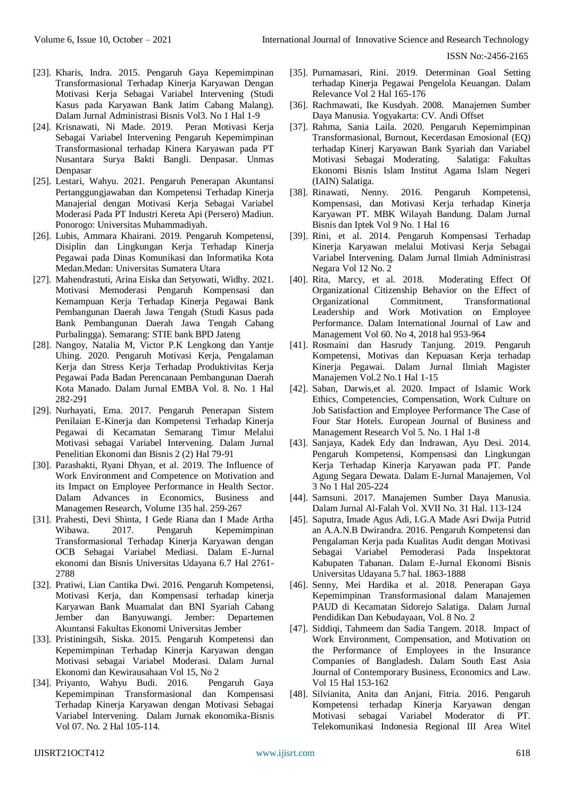- [23]. Kharis, Indra. 2015. Pengaruh Gaya Kepemimpinan Transformasional Terhadap Kinerja Karyawan Dengan Motivasi Kerja Sebagai Variabel Intervening (Studi Kasus pada Karyawan Bank Jatim Cabang Malang). Dalam Jurnal Administrasi Bisnis Vol3. No 1 Hal 1-9
- [24]. Krisnawati, Ni Made. 2019. Peran Motivasi Kerja Sebagai Variabel Intervening Pengaruh Kepemimpinan Transformasional terhadap Kinera Karyawan pada PT Nusantara Surya Bakti Bangli. Denpasar. Unmas Denpasar
- [25]. Lestari, Wahyu. 2021. Pengaruh Penerapan Akuntansi Pertanggungjawaban dan Kompetensi Terhadap Kinerja Manajerial dengan Motivasi Kerja Sebagai Variabel Moderasi Pada PT Industri Kereta Api (Persero) Madiun. Ponorogo: Universitas Muhammadiyah.
- [26]. Lubis, Ammara Khairani. 2019. Pengaruh Kompetensi, Disiplin dan Lingkungan Kerja Terhadap Kinerja Pegawai pada Dinas Komunikasi dan Informatika Kota Medan.Medan: Universitas Sumatera Utara
- [27]. Mahendrastuti, Arina Eiska dan Setyowati, Widhy. 2021. Motivasi Memoderasi Pengaruh Kompensasi dan Kemampuan Kerja Terhadap Kinerja Pegawai Bank Pembangunan Daerah Jawa Tengah (Studi Kasus pada Bank Pembangunan Daerah Jawa Tengah Cabang Purbalingga). Semarang: STIE bank BPD Jateng
- [28]. Nangoy, Natalia M, Victor P.K Lengkong dan Yantje Uhing. 2020. Pengaruh Motivasi Kerja, Pengalaman Kerja dan Stress Kerja Terhadap Produktivitas Kerja Pegawai Pada Badan Perencanaan Pembangunan Daerah Kota Manado. Dalam Jurnal EMBA Vol. 8. No. 1 Hal 282-291
- [29]. Nurhayati, Ema. 2017. Pengaruh Penerapan Sistem Penilaian E-Kinerja dan Kompetensi Terhadap Kinerja Pegawai di Kecamatan Semarang Timur Melalui Motivasi sebagai Variabel Intervening. Dalam Jurnal Penelitian Ekonomi dan Bisnis 2 (2) Hal 79-91
- [30]. Parashakti, Ryani Dhyan, et al. 2019. The Influence of Work Environment and Competence on Motivation and its Impact on Employee Performance in Health Sector. Dalam Advances in Economics, Business and Managemen Research, Volume 135 hal. 259-267
- [31]. Prahesti, Devi Shinta, I Gede Riana dan I Made Artha Wibawa. 2017. Pengaruh Kepemimpinan Transformasional Terhadap Kinerja Karyawan dengan OCB Sebagai Variabel Mediasi. Dalam E-Jurnal ekonomi dan Bisnis Universitas Udayana 6.7 Hal 2761- 2788
- [32]. Pratiwi, Lian Cantika Dwi. 2016. Pengaruh Kompetensi, Motivasi Kerja, dan Kompensasi terhadap kinerja Karyawan Bank Muamalat dan BNI Syariah Cabang Jember dan Banyuwangi. Jember: Departemen Akuntansi Fakultas Ekonomi Universitas Jember
- [33]. Pristiningsih, Siska. 2015. Pengaruh Kompetensi dan Kepemimpinan Terhadap Kinerja Karyawan dengan Motivasi sebagai Variabel Moderasi. Dalam Jurnal Ekonomi dan Kewirausahaan Vol 15, No 2
- [34]. Priyanto, Wahyu Budi. 2016. Pengaruh Gaya Kepemimpinan Transformasional dan Kompensasi Terhadap Kinerja Karyawan dengan Motivasi Sebagai Variabel Intervening. Dalam Jurnak ekonomika-Bisnis Vol 07. No. 2 Hal 105-114.
- [35]. Purnamasari, Rini. 2019. Determinan Goal Setting terhadap Kinerja Pegawai Pengelola Keuangan. Dalam Relevance Vol 2 Hal 165-176
- [36]. Rachmawati, Ike Kusdyah. 2008. Manajemen Sumber Daya Manusia. Yogyakarta: CV. Andi Offset
- [37]. Rahma, Sania Laila. 2020. Pengaruh Kepemimpinan Transformasional, Burnout, Kecerdasan Emosional (EQ) terhadap Kinerj Karyawan Bank Syariah dan Variabel Motivasi Sebagai Moderating. Salatiga: Fakultas Ekonomi Bisnis Islam Institut Agama Islam Negeri (IAIN) Salatiga.
- [38]. Rinawati, Nenny. 2016. Pengaruh Kompetensi, Kompensasi, dan Motivasi Kerja terhadap Kinerja Karyawan PT. MBK Wilayah Bandung. Dalam Jurnal Bisnis dan Iptek Vol 9 No. 1 Hal 16
- [39]. Rini, et al. 2014. Pengaruh Kompensasi Terhadap Kinerja Karyawan melalui Motivasi Kerja Sebagai Variabel Intervening. Dalam Jurnal Ilmiah Administrasi Negara Vol 12 No. 2
- [40]. Rita, Marcy, et al. 2018. Moderating Effect Of Organizational Citizenship Behavior on the Effect of Organizational Commitment, Transformational Leadership and Work Motivation on Employee Performance. Dalam International Journal of Law and Management Vol 60. No 4, 2018 hal 953-964
- [41]. Rosmaini dan Hasrudy Tanjung. 2019. Pengaruh Kompetensi, Motivas dan Kepuasan Kerja terhadap Kinerja Pegawai. Dalam Jurnal Ilmiah Magister Manajemen Vol.2 No.1 Hal 1-15
- [42]. Saban, Darwis,et al. 2020. Impact of Islamic Work Ethics, Competencies, Compensation, Work Culture on Job Satisfaction and Employee Performance The Case of Four Star Hotels. European Journal of Business and Management Research Vol 5. No. 1 Hal 1-8
- [43]. Sanjaya, Kadek Edy dan Indrawan, Ayu Desi. 2014. Pengaruh Kompetensi, Kompensasi dan Lingkungan Kerja Terhadap Kinerja Karyawan pada PT. Pande Agung Segara Dewata. Dalam E-Jurnal Manajemen, Vol 3 No 1 Hal 205-224
- [44]. Samsuni. 2017. Manajemen Sumber Daya Manusia. Dalam Jurnal Al-Falah Vol. XVII No. 31 Hal. 113-124
- [45]. Saputra, Imade Agus Adi, I.G.A Made Asri Dwija Putrid an A.A.N.B Dwirandra. 2016. Pengaruh Kompetensi dan Pengalaman Kerja pada Kualitas Audit dengan Motivasi Sebagai Variabel Pemoderasi Pada Inspektorat Kabupaten Tabanan. Dalam E-Jurnal Ekonomi Bisnis Universitas Udayana 5.7 hal. 1863-1888
- [46]. Senny, Mei Hardika et al. 2018. Penerapan Gaya Kepemimpinan Transformasional dalam Manajemen PAUD di Kecamatan Sidorejo Salatiga. Dalam Jurnal Pendidikan Dan Kebudayaan, Vol. 8 No. 2
- [47]. Siddiqi, Tahmeem dan Sadia Tangem. 2018. Impact of Work Environment, Compensation, and Motivation on the Performance of Employees in the Insurance Companies of Bangladesh. Dalam South East Asia Journal of Contemporary Business, Economics and Law. Vol 15 Hal 153-162
- [48]. Silvianita, Anita dan Anjani, Fitria. 2016. Pengaruh Kompetensi terhadap Kinerja Karyawan dengan Motivasi sebagai Variabel Moderator di PT. Telekomunikasi Indonesia Regional III Area Witel